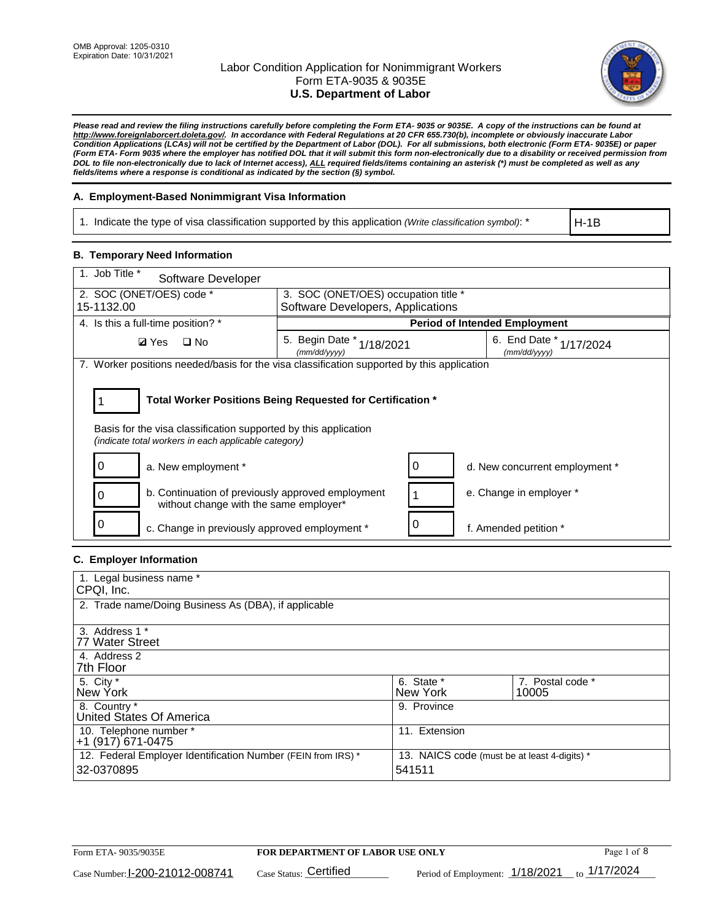

*Please read and review the filing instructions carefully before completing the Form ETA- 9035 or 9035E. A copy of the instructions can be found at http://www.foreignlaborcert.doleta.gov/. In accordance with Federal Regulations at 20 CFR 655.730(b), incomplete or obviously inaccurate Labor Condition Applications (LCAs) will not be certified by the Department of Labor (DOL). For all submissions, both electronic (Form ETA- 9035E) or paper (Form ETA- Form 9035 where the employer has notified DOL that it will submit this form non-electronically due to a disability or received permission from DOL to file non-electronically due to lack of Internet access), ALL required fields/items containing an asterisk (\*) must be completed as well as any fields/items where a response is conditional as indicated by the section (§) symbol.* 

## **A. Employment-Based Nonimmigrant Visa Information**

1. Indicate the type of visa classification supported by this application *(Write classification symbol)*: \*

H-1B

## **B. Temporary Need Information**

| 1. Job Title *<br>Software Developer                                                                                                                                                  |                                              |  |                                             |  |
|---------------------------------------------------------------------------------------------------------------------------------------------------------------------------------------|----------------------------------------------|--|---------------------------------------------|--|
| 2. SOC (ONET/OES) code *                                                                                                                                                              | 3. SOC (ONET/OES) occupation title *         |  |                                             |  |
| 15-1132.00                                                                                                                                                                            | Software Developers, Applications            |  |                                             |  |
| 4. Is this a full-time position? *                                                                                                                                                    |                                              |  | <b>Period of Intended Employment</b>        |  |
| $\Box$ No<br><b>Ø</b> Yes                                                                                                                                                             | 5. Begin Date *<br>1/18/2021<br>(mm/dd/yyyy) |  | 6. End Date $*_{1/17/2024}$<br>(mm/dd/yyyy) |  |
| 7. Worker positions needed/basis for the visa classification supported by this application                                                                                            |                                              |  |                                             |  |
| Total Worker Positions Being Requested for Certification *<br>Basis for the visa classification supported by this application<br>(indicate total workers in each applicable category) |                                              |  |                                             |  |
| a. New employment *                                                                                                                                                                   |                                              |  | d. New concurrent employment *              |  |
| b. Continuation of previously approved employment<br>0<br>without change with the same employer*                                                                                      |                                              |  | e. Change in employer *                     |  |
| c. Change in previously approved employment *                                                                                                                                         |                                              |  | f. Amended petition *                       |  |

### **C. Employer Information**

| 1. Legal business name *                                     |                                              |                  |
|--------------------------------------------------------------|----------------------------------------------|------------------|
| CPQI, Inc.                                                   |                                              |                  |
| 2. Trade name/Doing Business As (DBA), if applicable         |                                              |                  |
|                                                              |                                              |                  |
| 3. Address 1 *                                               |                                              |                  |
| 77 Water Street                                              |                                              |                  |
| 4. Address 2                                                 |                                              |                  |
| 7th Floor                                                    |                                              |                  |
| 5. City *                                                    | 6. State *                                   | 7. Postal code * |
| New York                                                     | New York                                     | 10005            |
| 8. Country *                                                 | 9. Province                                  |                  |
| United States Of America                                     |                                              |                  |
| 10. Telephone number *                                       | 11. Extension                                |                  |
| +1 (917) 671-0475                                            |                                              |                  |
| 12. Federal Employer Identification Number (FEIN from IRS) * | 13. NAICS code (must be at least 4-digits) * |                  |
| 32-0370895                                                   | 541511                                       |                  |
|                                                              |                                              |                  |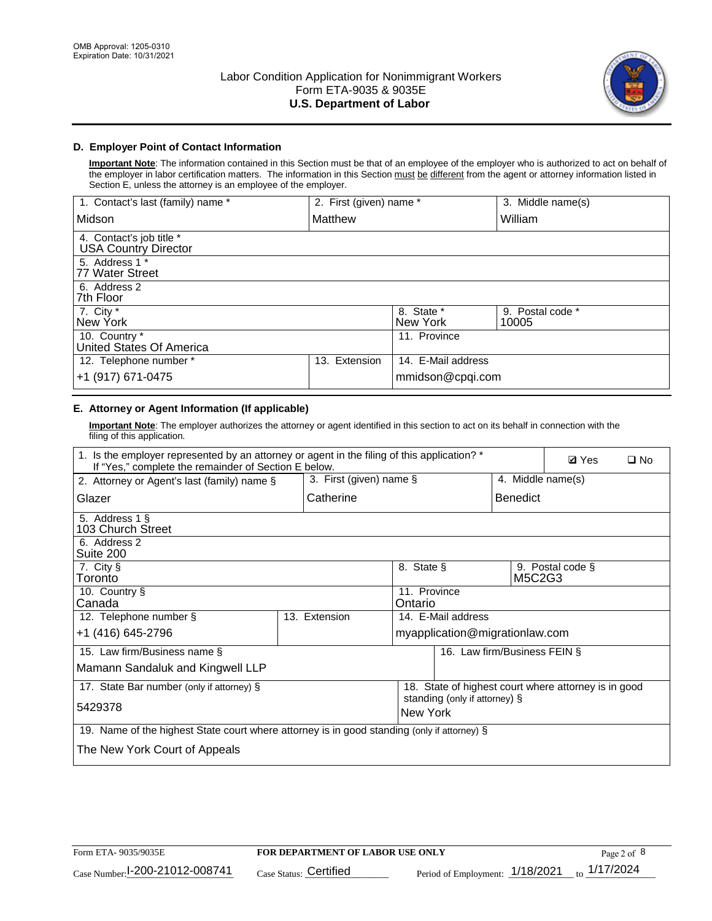

# **D. Employer Point of Contact Information**

**Important Note**: The information contained in this Section must be that of an employee of the employer who is authorized to act on behalf of the employer in labor certification matters. The information in this Section must be different from the agent or attorney information listed in Section E, unless the attorney is an employee of the employer.

| 1. Contact's last (family) name *                       | 2. First (given) name * |                        | 3. Middle name(s)         |
|---------------------------------------------------------|-------------------------|------------------------|---------------------------|
| Midson                                                  | Matthew                 |                        | William                   |
| 4. Contact's job title *<br><b>USA Country Director</b> |                         |                        |                           |
| 5. Address 1 *<br>77 Water Street                       |                         |                        |                           |
| 6. Address 2<br>7th Floor                               |                         |                        |                           |
| 7. City $*$<br>New York                                 |                         | 8. State *<br>New York | 9. Postal code *<br>10005 |
| 10. Country *<br>United States Of America               |                         | 11. Province           |                           |
| 12. Telephone number *                                  | Extension<br>13.        | 14. E-Mail address     |                           |
| +1 (917) 671-0475                                       |                         | mmidson@cpqi.com       |                           |

# **E. Attorney or Agent Information (If applicable)**

**Important Note**: The employer authorizes the attorney or agent identified in this section to act on its behalf in connection with the filing of this application.

| 1. Is the employer represented by an attorney or agent in the filing of this application? *<br>If "Yes," complete the remainder of Section E below. |                         |                         |                                |                              | <b>Ø</b> Yes<br>$\square$ No                         |
|-----------------------------------------------------------------------------------------------------------------------------------------------------|-------------------------|-------------------------|--------------------------------|------------------------------|------------------------------------------------------|
| 2. Attorney or Agent's last (family) name §                                                                                                         | 3. First (given) name § |                         |                                | 4. Middle name(s)            |                                                      |
| Glazer                                                                                                                                              | Catherine               |                         |                                | <b>Benedict</b>              |                                                      |
| 5. Address 1 §<br>103 Church Street                                                                                                                 |                         |                         |                                |                              |                                                      |
| 6. Address 2<br>Suite 200                                                                                                                           |                         |                         |                                |                              |                                                      |
| 7. City §<br>Toronto                                                                                                                                |                         | 8. State §              |                                | M5C2G3                       | 9. Postal code §                                     |
| 10. Country §<br>Canada                                                                                                                             |                         | 11. Province<br>Ontario |                                |                              |                                                      |
| 12. Telephone number §                                                                                                                              | 13. Extension           |                         | 14. E-Mail address             |                              |                                                      |
| +1 (416) 645-2796                                                                                                                                   |                         |                         | myapplication@migrationlaw.com |                              |                                                      |
| 15. Law firm/Business name §                                                                                                                        |                         |                         |                                | 16. Law firm/Business FEIN § |                                                      |
| Mamann Sandaluk and Kingwell LLP                                                                                                                    |                         |                         |                                |                              |                                                      |
| 17. State Bar number (only if attorney) §                                                                                                           |                         |                         | standing (only if attorney) §  |                              | 18. State of highest court where attorney is in good |
| 5429378                                                                                                                                             |                         | New York                |                                |                              |                                                      |
| 19. Name of the highest State court where attorney is in good standing (only if attorney) §                                                         |                         |                         |                                |                              |                                                      |
| The New York Court of Appeals                                                                                                                       |                         |                         |                                |                              |                                                      |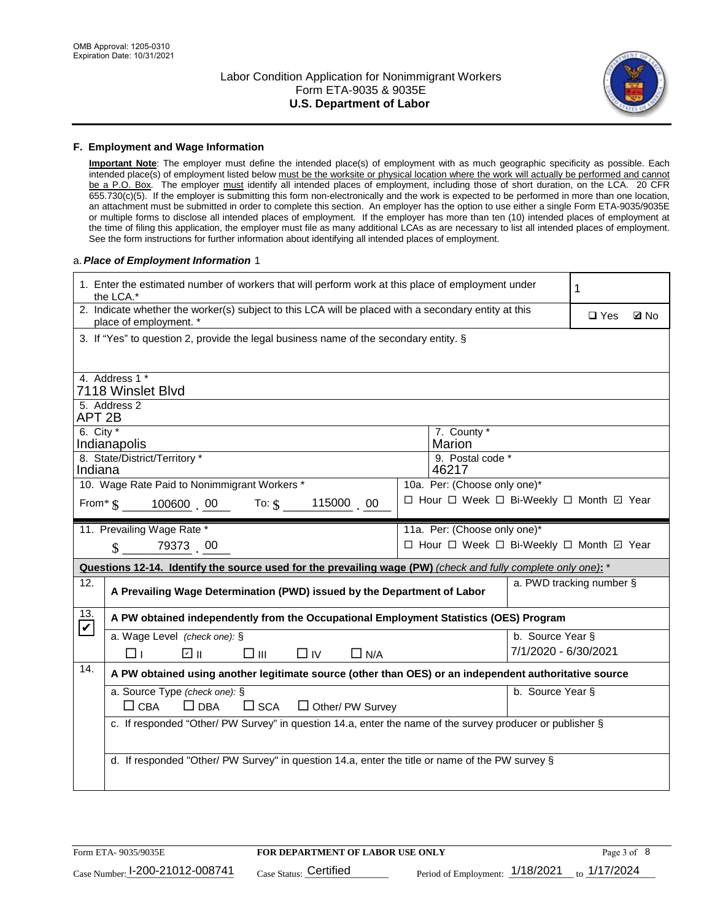

### **F. Employment and Wage Information**

**Important Note**: The employer must define the intended place(s) of employment with as much geographic specificity as possible. Each intended place(s) of employment listed below must be the worksite or physical location where the work will actually be performed and cannot be a P.O. Box. The employer must identify all intended places of employment, including those of short duration, on the LCA. 20 CFR 655.730(c)(5). If the employer is submitting this form non-electronically and the work is expected to be performed in more than one location, an attachment must be submitted in order to complete this section. An employer has the option to use either a single Form ETA-9035/9035E or multiple forms to disclose all intended places of employment. If the employer has more than ten (10) intended places of employment at the time of filing this application, the employer must file as many additional LCAs as are necessary to list all intended places of employment. See the form instructions for further information about identifying all intended places of employment.

### a.*Place of Employment Information* 1

|                                                                                        | 1. Enter the estimated number of workers that will perform work at this place of employment under<br>the LCA.*                 |  |                                          |                      | 1                        |             |
|----------------------------------------------------------------------------------------|--------------------------------------------------------------------------------------------------------------------------------|--|------------------------------------------|----------------------|--------------------------|-------------|
|                                                                                        | 2. Indicate whether the worker(s) subject to this LCA will be placed with a secondary entity at this<br>place of employment. * |  |                                          |                      | $\Box$ Yes               | <b>Z</b> No |
|                                                                                        | 3. If "Yes" to question 2, provide the legal business name of the secondary entity. §                                          |  |                                          |                      |                          |             |
|                                                                                        | 4. Address 1 *                                                                                                                 |  |                                          |                      |                          |             |
|                                                                                        | 7118 Winslet Blvd                                                                                                              |  |                                          |                      |                          |             |
| APT <sub>2B</sub>                                                                      | 5. Address 2                                                                                                                   |  |                                          |                      |                          |             |
| 6. City $*$                                                                            | Indianapolis                                                                                                                   |  | 7. County *<br>Marion                    |                      |                          |             |
| Indiana                                                                                | 8. State/District/Territory *                                                                                                  |  | 9. Postal code *<br>46217                |                      |                          |             |
|                                                                                        | 10. Wage Rate Paid to Nonimmigrant Workers *                                                                                   |  | 10a. Per: (Choose only one)*             |                      |                          |             |
| □ Hour □ Week □ Bi-Weekly □ Month ☑ Year<br>115000 00<br>From* $\S$ 100600 00 To: $\S$ |                                                                                                                                |  |                                          |                      |                          |             |
|                                                                                        | 11. Prevailing Wage Rate *                                                                                                     |  | 11a. Per: (Choose only one)*             |                      |                          |             |
|                                                                                        | $\sin 79373$ 00                                                                                                                |  | □ Hour □ Week □ Bi-Weekly □ Month 回 Year |                      |                          |             |
|                                                                                        | Questions 12-14. Identify the source used for the prevailing wage (PW) (check and fully complete only one): *                  |  |                                          |                      |                          |             |
| 12.                                                                                    | A Prevailing Wage Determination (PWD) issued by the Department of Labor                                                        |  |                                          |                      | a. PWD tracking number § |             |
| 13.<br>$\blacktriangledown$                                                            | A PW obtained independently from the Occupational Employment Statistics (OES) Program                                          |  |                                          |                      |                          |             |
|                                                                                        |                                                                                                                                |  |                                          |                      |                          |             |
|                                                                                        | a. Wage Level (check one): §                                                                                                   |  |                                          | b. Source Year §     |                          |             |
|                                                                                        | பெ<br>$\square$ $\square$<br>⊓⊥<br>$\Box$ IV<br>$\Box$ N/A                                                                     |  |                                          | 7/1/2020 - 6/30/2021 |                          |             |
| 14.                                                                                    | A PW obtained using another legitimate source (other than OES) or an independent authoritative source                          |  |                                          |                      |                          |             |
|                                                                                        | a. Source Type (check one): §                                                                                                  |  |                                          | b. Source Year §     |                          |             |
|                                                                                        | $\Box$ CBA<br>$\Box$ DBA<br>$\square$ SCA<br>□ Other/ PW Survey                                                                |  |                                          |                      |                          |             |
|                                                                                        | c. If responded "Other/ PW Survey" in question 14.a, enter the name of the survey producer or publisher §                      |  |                                          |                      |                          |             |
|                                                                                        |                                                                                                                                |  |                                          |                      |                          |             |
|                                                                                        | d. If responded "Other/ PW Survey" in question 14.a, enter the title or name of the PW survey §                                |  |                                          |                      |                          |             |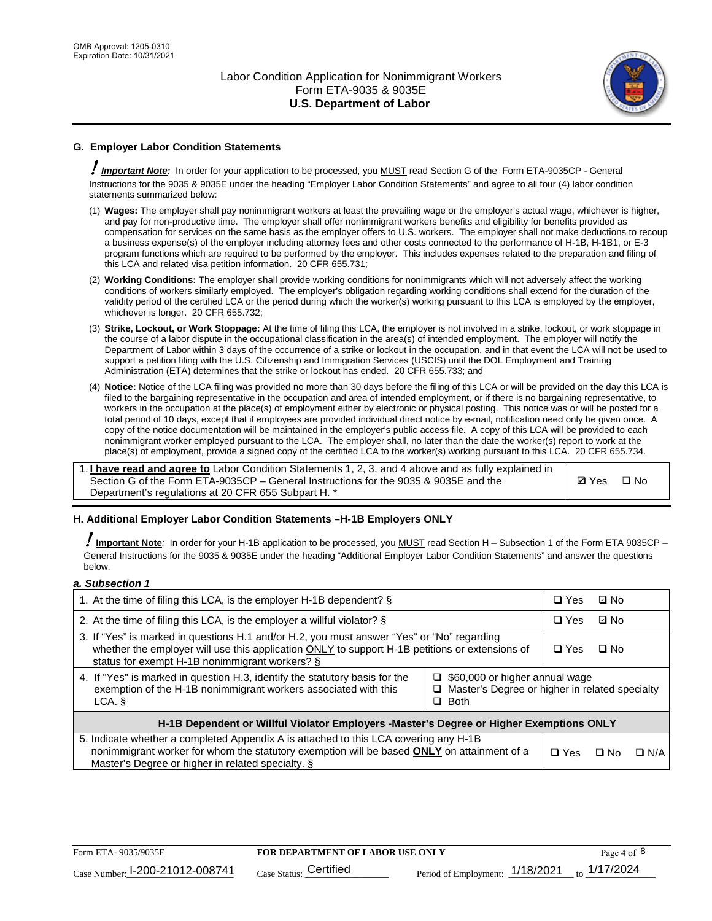

# **G. Employer Labor Condition Statements**

! *Important Note:* In order for your application to be processed, you MUST read Section G of the Form ETA-9035CP - General Instructions for the 9035 & 9035E under the heading "Employer Labor Condition Statements" and agree to all four (4) labor condition statements summarized below:

- (1) **Wages:** The employer shall pay nonimmigrant workers at least the prevailing wage or the employer's actual wage, whichever is higher, and pay for non-productive time. The employer shall offer nonimmigrant workers benefits and eligibility for benefits provided as compensation for services on the same basis as the employer offers to U.S. workers. The employer shall not make deductions to recoup a business expense(s) of the employer including attorney fees and other costs connected to the performance of H-1B, H-1B1, or E-3 program functions which are required to be performed by the employer. This includes expenses related to the preparation and filing of this LCA and related visa petition information. 20 CFR 655.731;
- (2) **Working Conditions:** The employer shall provide working conditions for nonimmigrants which will not adversely affect the working conditions of workers similarly employed. The employer's obligation regarding working conditions shall extend for the duration of the validity period of the certified LCA or the period during which the worker(s) working pursuant to this LCA is employed by the employer, whichever is longer. 20 CFR 655.732;
- (3) **Strike, Lockout, or Work Stoppage:** At the time of filing this LCA, the employer is not involved in a strike, lockout, or work stoppage in the course of a labor dispute in the occupational classification in the area(s) of intended employment. The employer will notify the Department of Labor within 3 days of the occurrence of a strike or lockout in the occupation, and in that event the LCA will not be used to support a petition filing with the U.S. Citizenship and Immigration Services (USCIS) until the DOL Employment and Training Administration (ETA) determines that the strike or lockout has ended. 20 CFR 655.733; and
- (4) **Notice:** Notice of the LCA filing was provided no more than 30 days before the filing of this LCA or will be provided on the day this LCA is filed to the bargaining representative in the occupation and area of intended employment, or if there is no bargaining representative, to workers in the occupation at the place(s) of employment either by electronic or physical posting. This notice was or will be posted for a total period of 10 days, except that if employees are provided individual direct notice by e-mail, notification need only be given once. A copy of the notice documentation will be maintained in the employer's public access file. A copy of this LCA will be provided to each nonimmigrant worker employed pursuant to the LCA. The employer shall, no later than the date the worker(s) report to work at the place(s) of employment, provide a signed copy of the certified LCA to the worker(s) working pursuant to this LCA. 20 CFR 655.734.

1. **I have read and agree to** Labor Condition Statements 1, 2, 3, and 4 above and as fully explained in Section G of the Form ETA-9035CP – General Instructions for the 9035 & 9035E and the Department's regulations at 20 CFR 655 Subpart H. \*

**Ø**Yes ロNo

### **H. Additional Employer Labor Condition Statements –H-1B Employers ONLY**

!**Important Note***:* In order for your H-1B application to be processed, you MUST read Section H – Subsection 1 of the Form ETA 9035CP – General Instructions for the 9035 & 9035E under the heading "Additional Employer Labor Condition Statements" and answer the questions below.

### *a. Subsection 1*

| 1. At the time of filing this LCA, is the employer H-1B dependent? §                                                                                                                                                                           |                                                                                                               |  | ⊡ No      |            |
|------------------------------------------------------------------------------------------------------------------------------------------------------------------------------------------------------------------------------------------------|---------------------------------------------------------------------------------------------------------------|--|-----------|------------|
| 2. At the time of filing this LCA, is the employer a willful violator? $\S$                                                                                                                                                                    |                                                                                                               |  | ⊡ No      |            |
| 3. If "Yes" is marked in questions H.1 and/or H.2, you must answer "Yes" or "No" regarding<br>whether the employer will use this application ONLY to support H-1B petitions or extensions of<br>status for exempt H-1B nonimmigrant workers? § |                                                                                                               |  | $\Box$ No |            |
| 4. If "Yes" is marked in question H.3, identify the statutory basis for the<br>exemption of the H-1B nonimmigrant workers associated with this<br>LCA.                                                                                         | $\Box$ \$60,000 or higher annual wage<br>$\Box$ Master's Degree or higher in related specialty<br>$\Box$ Both |  |           |            |
| H-1B Dependent or Willful Violator Employers -Master's Degree or Higher Exemptions ONLY                                                                                                                                                        |                                                                                                               |  |           |            |
| 5. Indicate whether a completed Appendix A is attached to this LCA covering any H-1B<br>nonimmigrant worker for whom the statutory exemption will be based <b>ONLY</b> on attainment of a<br>Master's Degree or higher in related specialty. § |                                                                                                               |  | ⊡ No      | $\Box$ N/A |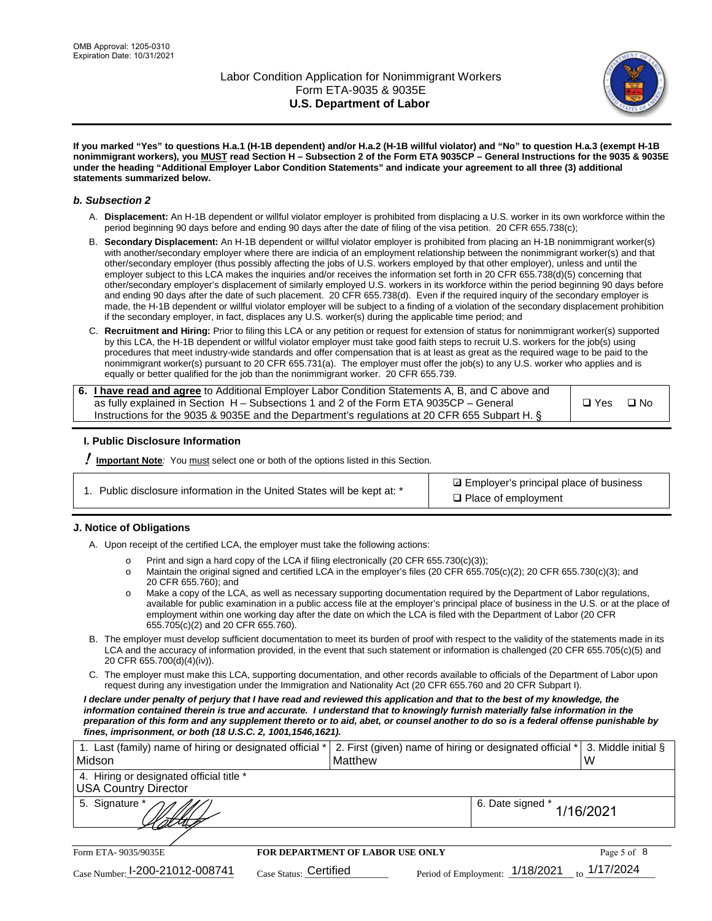

**If you marked "Yes" to questions H.a.1 (H-1B dependent) and/or H.a.2 (H-1B willful violator) and "No" to question H.a.3 (exempt H-1B nonimmigrant workers), you MUST read Section H – Subsection 2 of the Form ETA 9035CP – General Instructions for the 9035 & 9035E under the heading "Additional Employer Labor Condition Statements" and indicate your agreement to all three (3) additional statements summarized below.**

### *b. Subsection 2*

- A. **Displacement:** An H-1B dependent or willful violator employer is prohibited from displacing a U.S. worker in its own workforce within the period beginning 90 days before and ending 90 days after the date of filing of the visa petition. 20 CFR 655.738(c);
- B. **Secondary Displacement:** An H-1B dependent or willful violator employer is prohibited from placing an H-1B nonimmigrant worker(s) with another/secondary employer where there are indicia of an employment relationship between the nonimmigrant worker(s) and that other/secondary employer (thus possibly affecting the jobs of U.S. workers employed by that other employer), unless and until the employer subject to this LCA makes the inquiries and/or receives the information set forth in 20 CFR 655.738(d)(5) concerning that other/secondary employer's displacement of similarly employed U.S. workers in its workforce within the period beginning 90 days before and ending 90 days after the date of such placement. 20 CFR 655.738(d). Even if the required inquiry of the secondary employer is made, the H-1B dependent or willful violator employer will be subject to a finding of a violation of the secondary displacement prohibition if the secondary employer, in fact, displaces any U.S. worker(s) during the applicable time period; and
- C. **Recruitment and Hiring:** Prior to filing this LCA or any petition or request for extension of status for nonimmigrant worker(s) supported by this LCA, the H-1B dependent or willful violator employer must take good faith steps to recruit U.S. workers for the job(s) using procedures that meet industry-wide standards and offer compensation that is at least as great as the required wage to be paid to the nonimmigrant worker(s) pursuant to 20 CFR 655.731(a). The employer must offer the job(s) to any U.S. worker who applies and is equally or better qualified for the job than the nonimmigrant worker. 20 CFR 655.739.

| 6. I have read and agree to Additional Employer Labor Condition Statements A, B, and C above and |               |      |
|--------------------------------------------------------------------------------------------------|---------------|------|
| as fully explained in Section H – Subsections 1 and 2 of the Form ETA 9035CP – General           | $\square$ Yes | ⊟ No |
| Instructions for the 9035 & 9035E and the Department's regulations at 20 CFR 655 Subpart H. §    |               |      |

### **I. Public Disclosure Information**

! **Important Note***:* You must select one or both of the options listed in this Section.

|  | 1. Public disclosure information in the United States will be kept at: * |  |  |  |
|--|--------------------------------------------------------------------------|--|--|--|
|  |                                                                          |  |  |  |

**sqrt** Employer's principal place of business □ Place of employment

### **J. Notice of Obligations**

A. Upon receipt of the certified LCA, the employer must take the following actions:

- o Print and sign a hard copy of the LCA if filing electronically (20 CFR 655.730(c)(3));<br>
Maintain the original signed and certified LCA in the employer's files (20 CFR 655.7
- Maintain the original signed and certified LCA in the employer's files (20 CFR 655.705(c)(2); 20 CFR 655.730(c)(3); and 20 CFR 655.760); and
- o Make a copy of the LCA, as well as necessary supporting documentation required by the Department of Labor regulations, available for public examination in a public access file at the employer's principal place of business in the U.S. or at the place of employment within one working day after the date on which the LCA is filed with the Department of Labor (20 CFR 655.705(c)(2) and 20 CFR 655.760).
- B. The employer must develop sufficient documentation to meet its burden of proof with respect to the validity of the statements made in its LCA and the accuracy of information provided, in the event that such statement or information is challenged (20 CFR 655.705(c)(5) and 20 CFR 655.700(d)(4)(iv)).
- C. The employer must make this LCA, supporting documentation, and other records available to officials of the Department of Labor upon request during any investigation under the Immigration and Nationality Act (20 CFR 655.760 and 20 CFR Subpart I).

*I declare under penalty of perjury that I have read and reviewed this application and that to the best of my knowledge, the*  information contained therein is true and accurate. I understand that to knowingly furnish materially false information in the *preparation of this form and any supplement thereto or to aid, abet, or counsel another to do so is a federal offense punishable by fines, imprisonment, or both (18 U.S.C. 2, 1001,1546,1621).*

| 1. Last (family) name of hiring or designated official *                |                                         | 2. First (given) name of hiring or designated official * | 3. Middle initial §      |
|-------------------------------------------------------------------------|-----------------------------------------|----------------------------------------------------------|--------------------------|
| Midson                                                                  | Matthew                                 |                                                          | W                        |
| 4. Hiring or designated official title *<br><b>USA Country Director</b> |                                         |                                                          |                          |
| 5. Signature *                                                          |                                         | 6. Date signed *                                         | 1/16/2021                |
|                                                                         |                                         |                                                          |                          |
| Form ETA- 9035/9035E                                                    | <b>FOR DEPARTMENT OF LABOR USE ONLY</b> |                                                          | Page 5 of 8              |
| Case Number: 1-200-21012-008741                                         | Case Status: Certified                  | Period of Employment: 1/18/2021                          | $_{\text{to}}$ 1/17/2024 |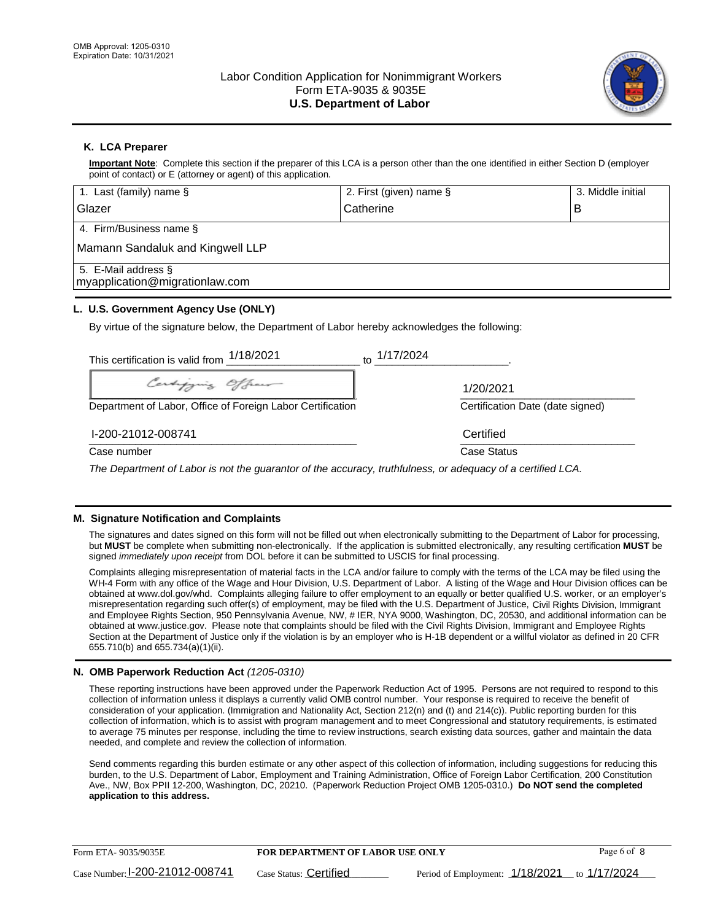

# **K. LCA Preparer**

**Important Note**: Complete this section if the preparer of this LCA is a person other than the one identified in either Section D (employer point of contact) or E (attorney or agent) of this application.

| 1. Last (family) name $\S$                                                                   | 2. First (given) name §  | 3. Middle initial |
|----------------------------------------------------------------------------------------------|--------------------------|-------------------|
| Glazer                                                                                       | Catherine                | в                 |
| 4. Firm/Business name §                                                                      |                          |                   |
| Mamann Sandaluk and Kingwell LLP                                                             |                          |                   |
| 5. E-Mail address §<br>myapplication@migrationlaw.com                                        |                          |                   |
| L. U.S. Government Agency Use (ONLY)                                                         |                          |                   |
| By virtue of the signature below, the Department of Labor hereby acknowledges the following: |                          |                   |
| This certification is valid from $1/18/2021$                                                 | $\frac{1}{10}$ 1/17/2024 |                   |
| $\mathbb{Z}$ , $\mathbb{Z}$                                                                  |                          |                   |

1/20/2021

\_\_\_\_\_\_\_\_\_\_\_\_\_\_\_\_\_\_\_\_\_\_\_\_\_\_\_\_\_\_\_\_\_\_\_\_\_\_\_\_\_\_\_\_\_\_ \_\_\_\_\_\_\_\_\_\_\_\_\_\_\_\_\_\_\_\_\_\_\_\_\_\_\_\_\_\_ Department of Labor, Office of Foreign Labor Certification Certification Date (date signed)

 $\frac{1200 - 21012 - 0001 + 1}{200 - 21012 - 0001 + 1}$ I-200-21012-008741 Certified

Case number **Case Status** Case Status **Case Status** 

*The Department of Labor is not the guarantor of the accuracy, truthfulness, or adequacy of a certified LCA.*

### **M. Signature Notification and Complaints**

The signatures and dates signed on this form will not be filled out when electronically submitting to the Department of Labor for processing, but **MUST** be complete when submitting non-electronically. If the application is submitted electronically, any resulting certification **MUST** be signed *immediately upon receipt* from DOL before it can be submitted to USCIS for final processing.

Complaints alleging misrepresentation of material facts in the LCA and/or failure to comply with the terms of the LCA may be filed using the WH-4 Form with any office of the Wage and Hour Division, U.S. Department of Labor. A listing of the Wage and Hour Division offices can be obtained at www.dol.gov/whd. Complaints alleging failure to offer employment to an equally or better qualified U.S. worker, or an employer's misrepresentation regarding such offer(s) of employment, may be filed with the U.S. Department of Justice, Civil Rights Division, Immigrant and Employee Rights Section, 950 Pennsylvania Avenue, NW, # IER, NYA 9000, Washington, DC, 20530, and additional information can be obtained at www.justice.gov. Please note that complaints should be filed with the Civil Rights Division, Immigrant and Employee Rights Section at the Department of Justice only if the violation is by an employer who is H-1B dependent or a willful violator as defined in 20 CFR 655.710(b) and 655.734(a)(1)(ii).

### **N. OMB Paperwork Reduction Act** *(1205-0310)*

These reporting instructions have been approved under the Paperwork Reduction Act of 1995. Persons are not required to respond to this collection of information unless it displays a currently valid OMB control number. Your response is required to receive the benefit of consideration of your application. (Immigration and Nationality Act, Section 212(n) and (t) and 214(c)). Public reporting burden for this collection of information, which is to assist with program management and to meet Congressional and statutory requirements, is estimated to average 75 minutes per response, including the time to review instructions, search existing data sources, gather and maintain the data needed, and complete and review the collection of information.

Send comments regarding this burden estimate or any other aspect of this collection of information, including suggestions for reducing this burden, to the U.S. Department of Labor, Employment and Training Administration, Office of Foreign Labor Certification, 200 Constitution Ave., NW, Box PPII 12-200, Washington, DC, 20210. (Paperwork Reduction Project OMB 1205-0310.) **Do NOT send the completed application to this address.**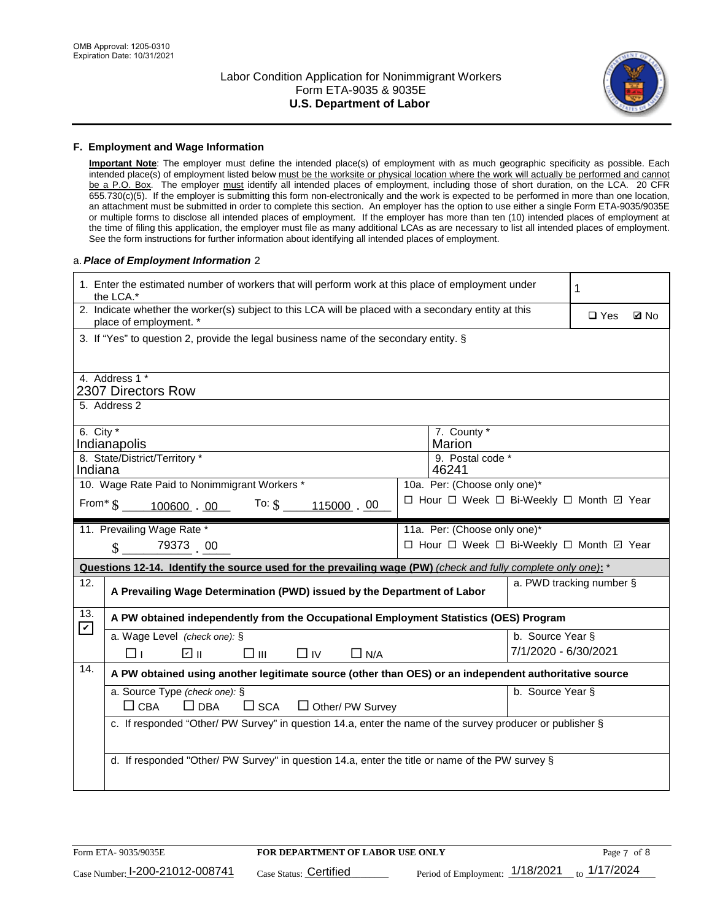

### **F. Employment and Wage Information**

**Important Note**: The employer must define the intended place(s) of employment with as much geographic specificity as possible. Each intended place(s) of employment listed below must be the worksite or physical location where the work will actually be performed and cannot be a P.O. Box. The employer must identify all intended places of employment, including those of short duration, on the LCA. 20 CFR 655.730(c)(5). If the employer is submitting this form non-electronically and the work is expected to be performed in more than one location, an attachment must be submitted in order to complete this section. An employer has the option to use either a single Form ETA-9035/9035E or multiple forms to disclose all intended places of employment. If the employer has more than ten (10) intended places of employment at the time of filing this application, the employer must file as many additional LCAs as are necessary to list all intended places of employment. See the form instructions for further information about identifying all intended places of employment.

### a.*Place of Employment Information* 2

|                             | 1. Enter the estimated number of workers that will perform work at this place of employment under<br>the LCA.*                 |  |                                          |                          |            |             |
|-----------------------------|--------------------------------------------------------------------------------------------------------------------------------|--|------------------------------------------|--------------------------|------------|-------------|
|                             | 2. Indicate whether the worker(s) subject to this LCA will be placed with a secondary entity at this<br>place of employment. * |  |                                          |                          | $\Box$ Yes | <b>Z</b> No |
|                             | 3. If "Yes" to question 2, provide the legal business name of the secondary entity. §                                          |  |                                          |                          |            |             |
|                             | 4. Address 1 *                                                                                                                 |  |                                          |                          |            |             |
|                             | 2307 Directors Row                                                                                                             |  |                                          |                          |            |             |
|                             | 5. Address 2                                                                                                                   |  |                                          |                          |            |             |
| 6. City $*$                 | Indianapolis                                                                                                                   |  | 7. County *<br>Marion                    |                          |            |             |
|                             | 8. State/District/Territory *                                                                                                  |  | 9. Postal code *                         |                          |            |             |
| Indiana                     |                                                                                                                                |  | 46241                                    |                          |            |             |
|                             | 10. Wage Rate Paid to Nonimmigrant Workers *                                                                                   |  | 10a. Per: (Choose only one)*             |                          |            |             |
|                             | From $\frac{100600}{.00}$ . 00 To: $\frac{10000}{.00}$ . 00                                                                    |  | □ Hour □ Week □ Bi-Weekly □ Month □ Year |                          |            |             |
|                             | 11. Prevailing Wage Rate *                                                                                                     |  | 11a. Per: (Choose only one)*             |                          |            |             |
|                             | $\sin 79373$ 00                                                                                                                |  | □ Hour □ Week □ Bi-Weekly □ Month ☑ Year |                          |            |             |
|                             | Questions 12-14. Identify the source used for the prevailing wage (PW) (check and fully complete only one): *                  |  |                                          |                          |            |             |
| 12.                         | A Prevailing Wage Determination (PWD) issued by the Department of Labor                                                        |  |                                          | a. PWD tracking number § |            |             |
| 13.<br>$\boxed{\mathbf{v}}$ | A PW obtained independently from the Occupational Employment Statistics (OES) Program                                          |  |                                          |                          |            |             |
|                             | a. Wage Level (check one): §                                                                                                   |  |                                          | b. Source Year §         |            |             |
|                             | ☑ ⊪<br>$\square$ $\square$<br>$\Box$ IV<br>$\Box$ N/A<br>□⊥                                                                    |  |                                          | 7/1/2020 - 6/30/2021     |            |             |
| 14.                         | A PW obtained using another legitimate source (other than OES) or an independent authoritative source                          |  |                                          |                          |            |             |
|                             | a. Source Type (check one): §                                                                                                  |  |                                          | b. Source Year §         |            |             |
|                             | $\Box$ CBA<br>$\Box$ DBA<br>$\square$ SCA<br>$\Box$ Other/ PW Survey                                                           |  |                                          |                          |            |             |
|                             | c. If responded "Other/ PW Survey" in question 14.a, enter the name of the survey producer or publisher §                      |  |                                          |                          |            |             |
|                             |                                                                                                                                |  |                                          |                          |            |             |
|                             | d. If responded "Other/ PW Survey" in question 14.a, enter the title or name of the PW survey §                                |  |                                          |                          |            |             |
|                             |                                                                                                                                |  |                                          |                          |            |             |